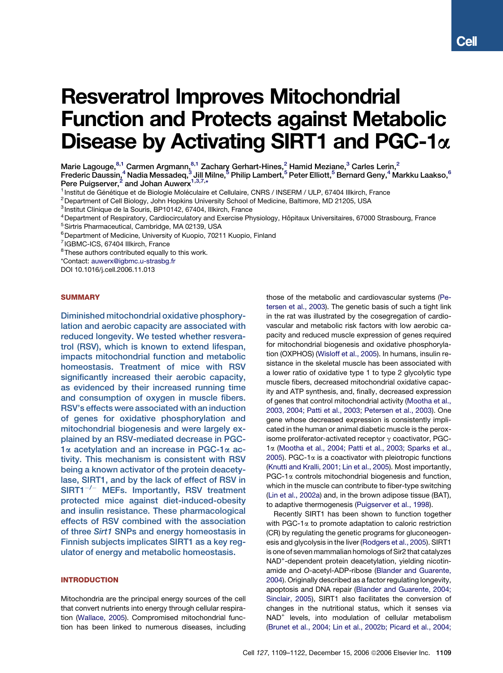# Resveratrol Improves Mitochondrial Function and Protects against Metabolic Disease by Activating SIRT1 and PGC-1 $\alpha$

Marie Lagouge,  $8,1$  Carmen Argmann,  $8,1$  Zachary Gerhart-Hines, 2 Hamid Meziane, 3 Carles Lerin, 2 Frederic Daussin,<sup>4</sup> Nadia Messadeq,<sup>3</sup> Jill Milne,<sup>5</sup> Philip Lambert,<sup>5</sup> Peter Elliott,<sup>5</sup> Bernard Geny,<sup>4</sup> Markku Laakso,<sup>6</sup>

Pere Puigserver,<sup>2</sup> and Johan Auwerx<sup>1,3,7,\*</sup>

<sup>1</sup> Institut de Génétique et de Biologie Moléculaire et Cellulaire, CNRS / INSERM / ULP, 67404 Illkirch, France

 $2$ Department of Cell Biology, John Hopkins University School of Medicine, Baltimore, MD 21205, USA

<sup>3</sup> Institut Clinique de la Souris, BP10142, 67404, Illkirch, France

<sup>4</sup> Department of Respiratory, Cardiocirculatory and Exercise Physiology, Hôpitaux Universitaires, 67000 Strasbourg, France

<sup>5</sup>Sirtris Pharmaceutical, Cambridge, MA 02139, USA

<sup>6</sup> Department of Medicine, University of Kuopio, 70211 Kuopio, Finland

7 IGBMC-ICS, 67404 Illkirch, France

 $8$ These authors contributed equally to this work.

\*Contact: auwerx@igbmc.u-strasbg.fr

DOI 10.1016/j.cell.2006.11.013

# **SUMMARY**

Diminished mitochondrial oxidative phosphorylation and aerobic capacity are associated with reduced longevity. We tested whether resveratrol (RSV), which is known to extend lifespan, impacts mitochondrial function and metabolic homeostasis. Treatment of mice with RSV significantly increased their aerobic capacity, as evidenced by their increased running time and consumption of oxygen in muscle fibers. RSV's effects were associated with an induction of genes for oxidative phosphorylation and mitochondrial biogenesis and were largely explained by an RSV-mediated decrease in PGC- $1\alpha$  acetylation and an increase in PGC-1 $\alpha$  activity. This mechanism is consistent with RSV being a known activator of the protein deacetylase, SIRT1, and by the lack of effect of RSV in  $SIRT1^{-/-}$  MEFs. Importantly, RSV treatment protected mice against diet-induced-obesity and insulin resistance. These pharmacological effects of RSV combined with the association of three Sirt1 SNPs and energy homeostasis in Finnish subjects implicates SIRT1 as a key regulator of energy and metabolic homeostasis.

# INTRODUCTION

Mitochondria are the principal energy sources of the cell that convert nutrients into energy through cellular respiration (Wallace, 2005). Compromised mitochondrial function has been linked to numerous diseases, including those of the metabolic and cardiovascular systems (Petersen et al., 2003). The genetic basis of such a tight link in the rat was illustrated by the cosegregation of cardiovascular and metabolic risk factors with low aerobic capacity and reduced muscle expression of genes required for mitochondrial biogenesis and oxidative phosphorylation (OXPHOS) (Wisloff et al., 2005). In humans, insulin resistance in the skeletal muscle has been associated with a lower ratio of oxidative type 1 to type 2 glycolytic type muscle fibers, decreased mitochondrial oxidative capacity and ATP synthesis, and, finally, decreased expression of genes that control mitochondrial activity (Mootha et al., 2003, 2004; Patti et al., 2003; Petersen et al., 2003). One gene whose decreased expression is consistently implicated in the human or animal diabetic muscle is the peroxisome proliferator-activated receptor  $\gamma$  coactivator, PGC-1a (Mootha et al., 2004; Patti et al., 2003; Sparks et al., 2005). PGC-1 $\alpha$  is a coactivator with pleiotropic functions (Knutti and Kralli, 2001; Lin et al., 2005). Most importantly, PGC-1 $\alpha$  controls mitochondrial biogenesis and function, which in the muscle can contribute to fiber-type switching (Lin et al., 2002a) and, in the brown adipose tissue (BAT), to adaptive thermogenesis (Puigserver et al., 1998).

Recently SIRT1 has been shown to function together with PGC-1 $\alpha$  to promote adaptation to caloric restriction (CR) by regulating the genetic programs for gluconeogenesis and glycolysis in the liver (Rodgers et al., 2005). SIRT1 is one of seven mammalian homologs of Sir2 that catalyzes NAD<sup>+</sup>-dependent protein deacetylation, yielding nicotinamide and *O*-acetyl-ADP-ribose (Blander and Guarente, 2004). Originally described as a factor regulating longevity, apoptosis and DNA repair (Blander and Guarente, 2004; Sinclair, 2005), SIRT1 also facilitates the conversion of changes in the nutritional status, which it senses via NAD<sup>+</sup> levels, into modulation of cellular metabolism (Brunet et al., 2004; Lin et al., 2002b; Picard et al., 2004;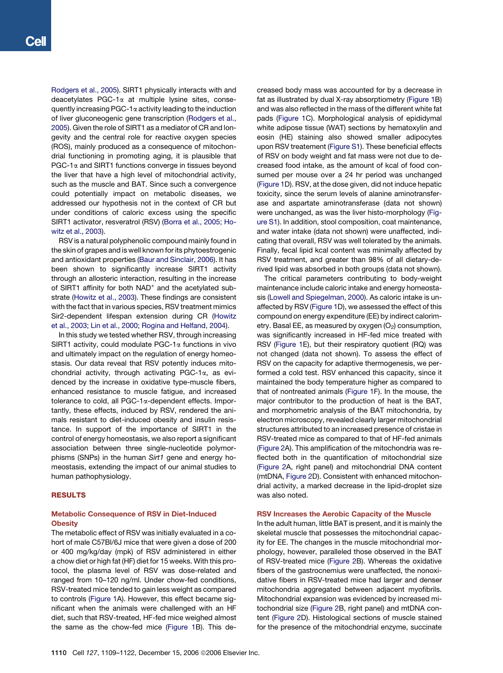Rodgers et al., 2005). SIRT1 physically interacts with and deacetylates PGC-1 $\alpha$  at multiple lysine sites, consequently increasing PGC-1 $\alpha$  activity leading to the induction of liver gluconeogenic gene transcription (Rodgers et al., 2005). Given the role of SIRT1 as a mediator of CR and longevity and the central role for reactive oxygen species (ROS), mainly produced as a consequence of mitochondrial functioning in promoting aging, it is plausible that  $PGC-1\alpha$  and SIRT1 functions converge in tissues beyond the liver that have a high level of mitochondrial activity, such as the muscle and BAT. Since such a convergence could potentially impact on metabolic diseases, we addressed our hypothesis not in the context of CR but under conditions of caloric excess using the specific SIRT1 activator, resveratrol (RSV) (Borra et al., 2005; Howitz et al., 2003).

RSV is a natural polyphenolic compound mainly found in the skin of grapes and is well known for its phytoestrogenic and antioxidant properties (Baur and Sinclair, 2006). It has been shown to significantly increase SIRT1 activity through an allosteric interaction, resulting in the increase of SIRT1 affinity for both NAD<sup>+</sup> and the acetylated substrate (Howitz et al., 2003). These findings are consistent with the fact that in various species, RSV treatment mimics Sir2-dependent lifespan extension during CR (Howitz et al., 2003; Lin et al., 2000; Rogina and Helfand, 2004).

In this study we tested whether RSV, through increasing SIRT1 activity, could modulate PGC-1 $\alpha$  functions in vivo and ultimately impact on the regulation of energy homeostasis. Our data reveal that RSV potently induces mitochondrial activity, through activating PGC-1a, as evidenced by the increase in oxidative type-muscle fibers, enhanced resistance to muscle fatigue, and increased tolerance to cold, all PGC-1a-dependent effects. Importantly, these effects, induced by RSV, rendered the animals resistant to diet-induced obesity and insulin resistance. In support of the importance of SIRT1 in the control of energy homeostasis, we also report a significant association between three single-nucleotide polymorphisms (SNPs) in the human *Sirt1* gene and energy homeostasis, extending the impact of our animal studies to human pathophysiology.

# RESULTS

# Metabolic Consequence of RSV in Diet-Induced **Obesity**

The metabolic effect of RSV was initially evaluated in a cohort of male C57Bl/6J mice that were given a dose of 200 or 400 mg/kg/day (mpk) of RSV administered in either a chow diet or high fat (HF) diet for 15 weeks. With this protocol, the plasma level of RSV was dose-related and ranged from 10–120 ng/ml. Under chow-fed conditions, RSV-treated mice tended to gain less weight as compared to controls (Figure 1A). However, this effect became significant when the animals were challenged with an HF diet, such that RSV-treated, HF-fed mice weighed almost the same as the chow-fed mice (Figure 1B). This decreased body mass was accounted for by a decrease in fat as illustrated by dual X-ray absorptiometry (Figure 1B) and was also reflected in the mass of the different white fat pads (Figure 1C). Morphological analysis of epididymal white adipose tissue (WAT) sections by hematoxylin and eosin (HE) staining also showed smaller adipocytes upon RSV treatement (Figure S1). These beneficial effects of RSV on body weight and fat mass were not due to decreased food intake, as the amount of kcal of food consumed per mouse over a 24 hr period was unchanged (Figure 1D). RSV, at the dose given, did not induce hepatic toxicity, since the serum levels of alanine aminotransferase and aspartate aminotransferase (data not shown) were unchanged, as was the liver histo-morphology (Figure S1). In addition, stool composition, coat maintenance, and water intake (data not shown) were unaffected, indicating that overall, RSV was well tolerated by the animals. Finally, fecal lipid kcal content was minimally affected by RSV treatment, and greater than 98% of all dietary-derived lipid was absorbed in both groups (data not shown).

The critical parameters contributing to body-weight maintenance include caloric intake and energy homeostasis (Lowell and Spiegelman, 2000). As caloric intake is unaffected by RSV (Figure 1D), we assessed the effect of this compound on energy expenditure (EE) by indirect calorimetry. Basal EE, as measured by oxygen  $(O<sub>2</sub>)$  consumption, was significantly increased in HF-fed mice treated with RSV (Figure 1E), but their respiratory quotient (RQ) was not changed (data not shown). To assess the effect of RSV on the capacity for adaptive thermogenesis, we performed a cold test. RSV enhanced this capacity, since it maintained the body temperature higher as compared to that of nontreated animals (Figure 1F). In the mouse, the major contributor to the production of heat is the BAT, and morphometric analysis of the BAT mitochondria, by electron microscopy, revealed clearly larger mitochondrial structures attributed to an increased presence of cristae in RSV-treated mice as compared to that of HF-fed animals (Figure 2A). This amplification of the mitochondria was reflected both in the quantification of mitochondrial size (Figure 2A, right panel) and mitochondrial DNA content (mtDNA, Figure 2D). Consistent with enhanced mitochondrial activity, a marked decrease in the lipid-droplet size was also noted.

# RSV Increases the Aerobic Capacity of the Muscle

In the adult human, little BAT is present, and it is mainly the skeletal muscle that possesses the mitochondrial capacity for EE. The changes in the muscle mitochondrial morphology, however, paralleled those observed in the BAT of RSV-treated mice (Figure 2B). Whereas the oxidative fibers of the gastrocnemius were unaffected, the nonoxidative fibers in RSV-treated mice had larger and denser mitochondria aggregated between adjacent myofibrils. Mitochondrial expansion was evidenced by increased mitochondrial size (Figure 2B, right panel) and mtDNA content (Figure 2D). Histological sections of muscle stained for the presence of the mitochondrial enzyme, succinate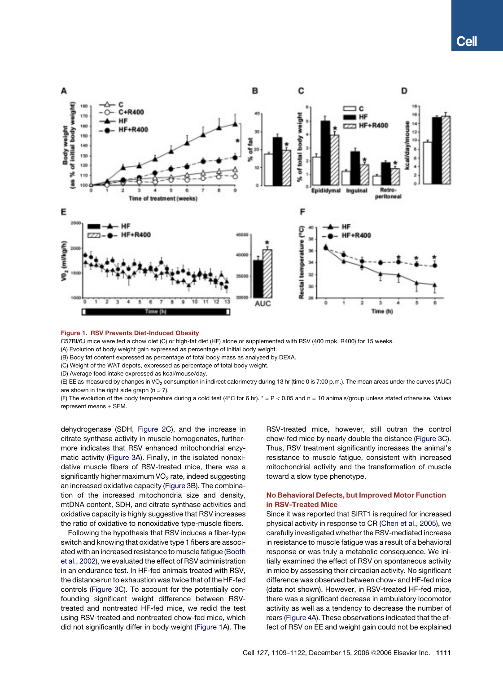

Figure 1. RSV Prevents Diet-Induced Obesity

C57Bl/6J mice were fed a chow diet (C) or high-fat diet (HF) alone or supplemented with RSV (400 mpk, R400) for 15 weeks.

(A) Evolution of body weight gain expressed as percentage of initial body weight.

(B) Body fat content expressed as percentage of total body mass as analyzed by DEXA.

(C) Weight of the WAT depots, expressed as percentage of total body weight.

(D) Average food intake expressed as kcal/mouse/day.

(E) EE as measured by changes in VO<sub>2</sub> consumption in indirect calorimetry during 13 hr (time 0 is 7:00 p.m.). The mean areas under the curves (AUC) are shown in the right side graph  $(n = 7)$ .

(F) The evolution of the body temperature during a cold test (4°C for 6 hr).  $* = P < 0.05$  and n = 10 animals/group unless stated otherwise. Values represent means  $\pm$  SEM.

dehydrogenase (SDH, Figure 2C), and the increase in citrate synthase activity in muscle homogenates, furthermore indicates that RSV enhanced mitochondrial enzymatic activity (Figure 3A). Finally, in the isolated nonoxidative muscle fibers of RSV-treated mice, there was a significantly higher maximum VO<sub>2</sub> rate, indeed suggesting an increased oxidative capacity (Figure 3B). The combination of the increased mitochondria size and density, mtDNA content, SDH, and citrate synthase activities and oxidative capacity is highly suggestive that RSV increases the ratio of oxidative to nonoxidative type-muscle fibers.

Following the hypothesis that RSV induces a fiber-type switch and knowing that oxidative type 1 fibers are associated with an increased resistance to muscle fatigue (Booth et al., 2002), we evaluated the effect of RSV administration in an endurance test. In HF-fed animals treated with RSV, the distance run to exhaustion was twice that of the HF-fed controls (Figure 3C). To account for the potentially confounding significant weight difference between RSVtreated and nontreated HF-fed mice, we redid the test using RSV-treated and nontreated chow-fed mice, which did not significantly differ in body weight (Figure 1A). The

RSV-treated mice, however, still outran the control chow-fed mice by nearly double the distance (Figure 3C). Thus, RSV treatment significantly increases the animal's resistance to muscle fatigue, consistent with increased mitochondrial activity and the transformation of muscle toward a slow type phenotype.

# No Behavioral Defects, but Improved Motor Function in RSV-Treated Mice

Since it was reported that SIRT1 is required for increased physical activity in response to CR (Chen et al., 2005), we carefully investigated whether the RSV-mediated increase in resistance to muscle fatigue was a result of a behavioral response or was truly a metabolic consequence. We initially examined the effect of RSV on spontaneous activity in mice by assessing their circadian activity. No significant difference was observed between chow- and HF-fed mice (data not shown). However, in RSV-treated HF-fed mice, there was a significant decrease in ambulatory locomotor activity as well as a tendency to decrease the number of rears (Figure 4A). These observations indicated that the effect of RSV on EE and weight gain could not be explained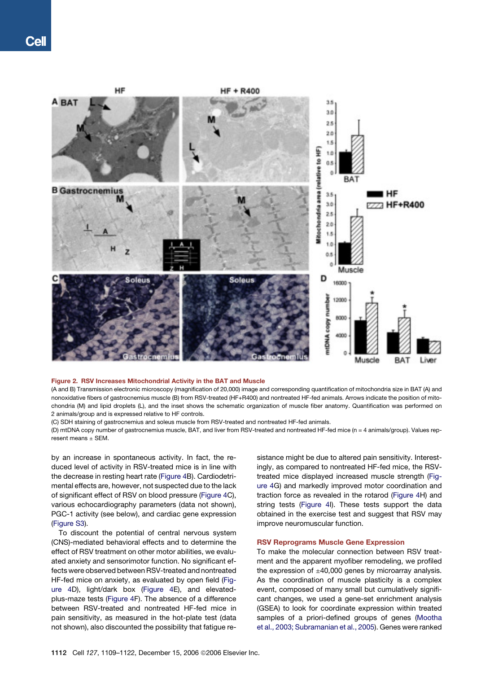

## Figure 2. RSV Increases Mitochondrial Activity in the BAT and Muscle

(A and B) Transmission electronic microscopy (magnification of 20,000) image and corresponding quantification of mitochondria size in BAT (A) and nonoxidative fibers of gastrocnemius muscle (B) from RSV-treated (HF+R400) and nontreated HF-fed animals. Arrows indicate the position of mitochondria (M) and lipid droplets (L), and the inset shows the schematic organization of muscle fiber anatomy. Quantification was performed on 2 animals/group and is expressed relative to HF controls.

(C) SDH staining of gastrocnemius and soleus muscle from RSV-treated and nontreated HF-fed animals.

(D) mtDNA copy number of gastrocnemius muscle, BAT, and liver from RSV-treated and nontreated HF-fed mice (n = 4 animals/group). Values rep $r$ esent means  $+$  SFM

by an increase in spontaneous activity. In fact, the reduced level of activity in RSV-treated mice is in line with the decrease in resting heart rate (Figure 4B). Cardiodetrimental effects are, however, not suspected due to the lack of significant effect of RSV on blood pressure (Figure 4C), various echocardiography parameters (data not shown), PGC-1 activity (see below), and cardiac gene expression (Figure S3).

To discount the potential of central nervous system (CNS)-mediated behavioral effects and to determine the effect of RSV treatment on other motor abilities, we evaluated anxiety and sensorimotor function. No significant effects were observed between RSV-treated and nontreated HF-fed mice on anxiety, as evaluated by open field (Figure 4D), light/dark box (Figure 4E), and elevatedplus-maze tests (Figure 4F). The absence of a difference between RSV-treated and nontreated HF-fed mice in pain sensitivity, as measured in the hot-plate test (data not shown), also discounted the possibility that fatigue resistance might be due to altered pain sensitivity. Interestingly, as compared to nontreated HF-fed mice, the RSVtreated mice displayed increased muscle strength (Figure 4G) and markedly improved motor coordination and traction force as revealed in the rotarod (Figure 4H) and string tests (Figure 4I). These tests support the data obtained in the exercise test and suggest that RSV may improve neuromuscular function.

# RSV Reprograms Muscle Gene Expression

To make the molecular connection between RSV treatment and the apparent myofiber remodeling, we profiled the expression of  $\pm 40,000$  genes by microarray analysis. As the coordination of muscle plasticity is a complex event, composed of many small but cumulatively significant changes, we used a gene-set enrichment analysis (GSEA) to look for coordinate expression within treated samples of a priori-defined groups of genes (Mootha et al., 2003; Subramanian et al., 2005). Genes were ranked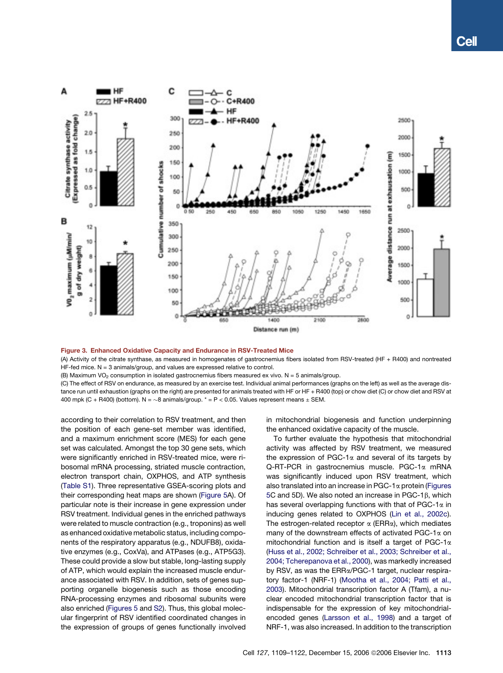

#### Figure 3. Enhanced Oxidative Capacity and Endurance in RSV-Treated Mice

(A) Activity of the citrate synthase, as measured in homogenates of gastrocnemius fibers isolated from RSV-treated (HF + R400) and nontreated  $HF-field$  mice.  $N = 3$  animals/group, and values are expressed relative to control.

(B) Maximum VO<sub>2</sub> consumption in isolated gastrocnemius fibers measured ex vivo. N = 5 animals/group.

(C) The effect of RSV on endurance, as measured by an exercise test. Individual animal performances (graphs on the left) as well as the average distance run until exhaustion (graphs on the right) are presented for animals treated with HF or HF + R400 (top) or chow diet (C) or chow diet and RSV at 400 mpk (C + R400) (bottom). N =  $\sim$ 8 animals/group. \* = P < 0.05. Values represent means  $\pm$  SEM.

according to their correlation to RSV treatment, and then the position of each gene-set member was identified, and a maximum enrichment score (MES) for each gene set was calculated. Amongst the top 30 gene sets, which were significantly enriched in RSV-treated mice, were ribosomal mRNA processing, striated muscle contraction, electron transport chain, OXPHOS, and ATP synthesis (Table S1). Three representative GSEA-scoring plots and their corresponding heat maps are shown (Figure 5A). Of particular note is their increase in gene expression under RSV treatment. Individual genes in the enriched pathways were related to muscle contraction (e.g., troponins) as well as enhanced oxidative metabolic status, including components of the respiratory apparatus (e.g., NDUFB8), oxidative enzymes (e.g., CoxVa), and ATPases (e.g., ATP5G3). These could provide a slow but stable, long-lasting supply of ATP, which would explain the increased muscle endurance associated with RSV. In addition, sets of genes supporting organelle biogenesis such as those encoding RNA-processing enzymes and ribosomal subunits were also enriched (Figures 5 and S2). Thus, this global molecular fingerprint of RSV identified coordinated changes in the expression of groups of genes functionally involved in mitochondrial biogenesis and function underpinning the enhanced oxidative capacity of the muscle.

To further evaluate the hypothesis that mitochondrial activity was affected by RSV treatment, we measured the expression of PGC-1 $\alpha$  and several of its targets by Q-RT-PCR in gastrocnemius muscle. PGC-1a mRNA was significantly induced upon RSV treatment, which also translated into an increase in PGC-1 $\alpha$  protein (Figures 5C and 5D). We also noted an increase in PGC-1 $\beta$ , which has several overlapping functions with that of PGC-1 $\alpha$  in inducing genes related to OXPHOS (Lin et al., 2002c). The estrogen-related receptor  $\alpha$  (ERR $\alpha$ ), which mediates many of the downstream effects of activated PGC-1 $\alpha$  on mitochondrial function and is itself a target of PGC-1a (Huss et al., 2002; Schreiber et al., 2003; Schreiber et al., 2004; Tcherepanova et al., 2000), was markedly increased by RSV, as was the ERRa/PGC-1 target, nuclear respiratory factor-1 (NRF-1) (Mootha et al., 2004; Patti et al., 2003). Mitochondrial transcription factor A (Tfam), a nuclear encoded mitochondrial transcription factor that is indispensable for the expression of key mitochondrialencoded genes (Larsson et al., 1998) and a target of NRF-1, was also increased. In addition to the transcription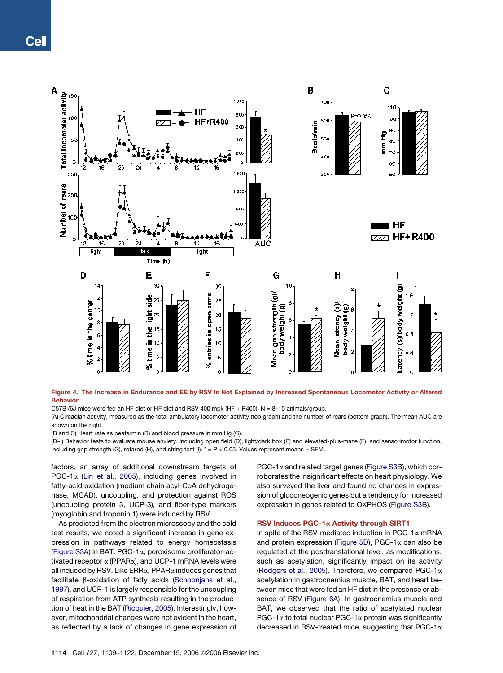

Figure 4. The Increase in Endurance and EE by RSV Is Not Explained by Increased Spontaneous Locomotor Activity or Altered Behavior

C57Bl/6J mice were fed an HF diet or HF diet and RSV 400 mpk (HF + R400). N = 8–10 animals/group.

(A) Circadian activity, measured as the total ambulatory locomotor activity (top graph) and the number of rears (bottom graph). The mean AUC are shown on the right.

(B and C) Heart rate as beats/min (B) and blood pressure in mm Hg (C).

(D–I) Behavior tests to evaluate mouse anxiety, including open field (D), light/dark box (E) and elevated-plus-maze (F), and sensorimotor function, including grip strength (G), rotarod (H), and string test (I).  $* = P < 0.05$ . Values represent means  $\pm$  SEM.

factors, an array of additional downstream targets of PGC-1 $\alpha$  (Lin et al., 2005), including genes involved in fatty-acid oxidation (medium chain acyl-CoA dehydrogenase, MCAD), uncoupling, and protection against ROS (uncoupling protein 3, UCP-3), and fiber-type markers (myoglobin and troponin 1) were induced by RSV.

As predicted from the electron microscopy and the cold test results, we noted a significant increase in gene expression in pathways related to energy homeostasis (Figure S3A) in BAT. PGC-1a, peroxisome proliferator-activated receptor  $\alpha$  (PPAR $\alpha$ ), and UCP-1 mRNA levels were all induced by RSV. Like  $ERR\alpha$ , PPAR $\alpha$  induces genes that facilitate  $\beta$ -oxidation of fatty acids (Schoonjans et al., 1997), and UCP-1 is largely responsible for the uncoupling of respiration from ATP synthesis resulting in the production of heat in the BAT (Ricquier, 2005). Interestingly, however, mitochondrial changes were not evident in the heart, as reflected by a lack of changes in gene expression of  $PGC-1\alpha$  and related target genes (Figure S3B), which corroborates the insignificant effects on heart physiology. We also surveyed the liver and found no changes in expression of gluconeogenic genes but a tendency for increased expression in genes related to OXPHOS (Figure S3B).

## RSV Induces PGC-1a Activity through SIRT1

In spite of the RSV-mediated induction in PGC-1 $\alpha$  mRNA and protein expression (Figure 5D), PGC-1 $\alpha$  can also be regulated at the posttranslational level, as modifications, such as acetylation, significantly impact on its activity (Rodgers et al., 2005). Therefore, we compared PGC-1a acetylation in gastrocnemius muscle, BAT, and heart between mice that were fed an HF diet in the presence or absence of RSV (Figure 6A). In gastrocnemius muscle and BAT, we observed that the ratio of acetylated nuclear PGC-1 $\alpha$  to total nuclear PGC-1 $\alpha$  protein was significantly decreased in RSV-treated mice, suggesting that PGC-1a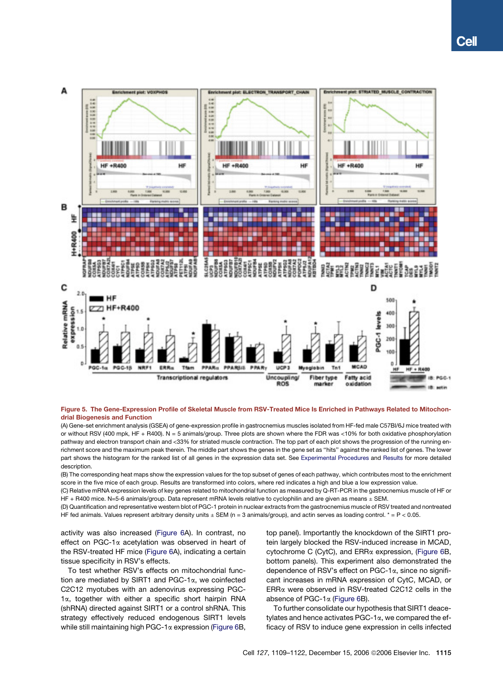

## Figure 5. The Gene-Expression Profile of Skeletal Muscle from RSV-Treated Mice Is Enriched in Pathways Related to Mitochondrial Biogenesis and Function

(A) Gene-set enrichment analysis (GSEA) of gene-expression profile in gastrocnemius muscles isolated from HF-fed male C57Bl/6J mice treated with or without RSV (400 mpk, HF + R400). N = 5 animals/group. Three plots are shown where the FDR was <10% for both oxidative phosphorylation pathway and electron transport chain and <33% for striated muscle contraction. The top part of each plot shows the progression of the running enrichment score and the maximum peak therein. The middle part shows the genes in the gene set as ''hits'' against the ranked list of genes. The lower part shows the histogram for the ranked list of all genes in the expression data set. See Experimental Procedures and Results for more detailed description.

(B) The corresponding heat maps show the expression values for the top subset of genes of each pathway, which contributes most to the enrichment score in the five mice of each group. Results are transformed into colors, where red indicates a high and blue a low expression value.

(C) Relative mRNA expression levels of key genes related to mitochondrial function as measured by Q-RT-PCR in the gastrocnemius muscle of HF or HF + R400 mice. N=5-6 animals/group. Data represent mRNA levels relative to cyclophilin and are given as means  $\pm$  SEM.

(D) Quantification and representative western blot of PGC-1 protein in nuclear extracts from the gastrocnemius muscle of RSV treated and nontreated HF fed animals. Values represent arbitrary density units  $\pm$  SEM (n = 3 animals/group), and actin serves as loading control. \* = P < 0.05.

activity was also increased (Figure 6A). In contrast, no effect on PGC-1a acetylation was observed in heart of the RSV-treated HF mice (Figure 6A), indicating a certain tissue specificity in RSV's effects.

To test whether RSV's effects on mitochondrial function are mediated by SIRT1 and PGC-1 $\alpha$ , we coinfected C2C12 myotubes with an adenovirus expressing PGC- $1\alpha$ , together with either a specific short hairpin RNA (shRNA) directed against SIRT1 or a control shRNA. This strategy effectively reduced endogenous SIRT1 levels while still maintaining high PGC-1 $\alpha$  expression (Figure 6B, top panel). Importantly the knockdown of the SIRT1 protein largely blocked the RSV-induced increase in MCAD, cytochrome C (CytC), and ERRa expression, (Figure 6B, bottom panels). This experiment also demonstrated the dependence of RSV's effect on PGC-1a, since no significant increases in mRNA expression of CytC, MCAD, or ERRa were observed in RSV-treated C2C12 cells in the absence of PGC-1a (Figure 6B).

To further consolidate our hypothesis that SIRT1 deacetylates and hence activates  $PGC-1\alpha$ , we compared the efficacy of RSV to induce gene expression in cells infected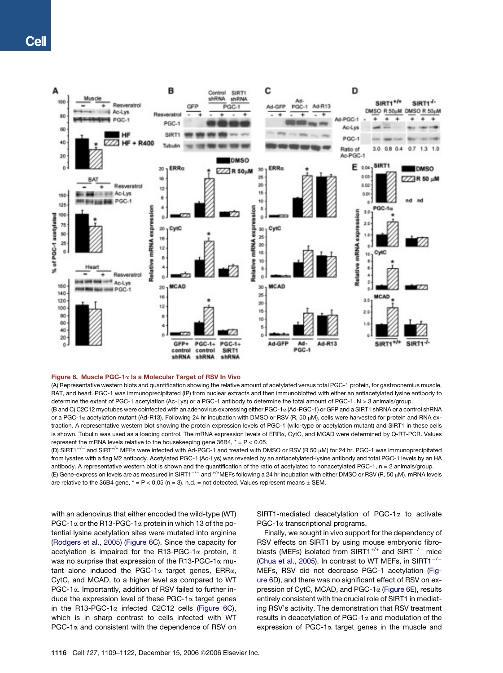

## Figure 6. Muscle PGC-1 $\alpha$  Is a Molecular Target of RSV In Vivo

(A) Representative western blots and quantification showing the relative amount of acetylated versus total PGC-1 protein, for gastrocnemius muscle, BAT, and heart. PGC-1 was immunoprecipitated (IP) from nuclear extracts and then immunoblotted with either an antiacetylated lysine antibody to determine the extent of PGC-1 acetylation (Ac-Lys) or a PGC-1 antibody to determine the total amount of PGC-1. N > 3 animals/group.

(B and C) C2C12 myotubes were coinfected with an adenovirus expressing either PGC-1a (Ad-PGC-1) or GFP and a SIRT1 shRNA or a control shRNA or a PGC-1a acetylation mutant (Ad-R13). Following 24 hr incubation with DMSO or RSV (R, 50 µM), cells were harvested for protein and RNA extraction. A representative western blot showing the protein expression levels of PGC-1 (wild-type or acetylation mutant) and SIRT1 in these cells is shown. Tubulin was used as a loading control. The mRNA expression levels of ERRa, CytC, and MCAD were determined by Q-RT-PCR. Values represent the mRNA levels relative to the housekeeping gene  $36B4$ ,  $* = P < 0.05$ .

(D) SIRT1<sup>-/-</sup> and SIRT<sup>+/+</sup> MEFs were infected with Ad-PGC-1 and treated with DMSO or RSV (R 50 µM) for 24 hr. PGC-1 was immunoprecipitated from lysates with a flag M2 antibody. Acetylated PGC-1 (Ac-Lys) was revealed by an antiacetylated-lysine antibody and total PGC-1 levels by an HA antibody. A representative western blot is shown and the quantification of the ratio of acetylated to nonacetylated PGC-1, n = 2 animals/group. (E) Gene-expression levels are as measured in SIRT1<sup>-/-</sup> and <sup>+/+</sup>MEFs following a 24 hr incubation with either DMSO or RSV (R, 50 µM). mRNA levels are relative to the 36B4 gene,  $* = P < 0.05$  (n = 3). n.d. = not detected. Values represent means  $\pm$  SEM.

with an adenovirus that either encoded the wild-type (WT) PGC-1 $\alpha$  or the R13-PGC-1 $\alpha$  protein in which 13 of the potential lysine acetylation sites were mutated into arginine (Rodgers et al., 2005) (Figure 6C). Since the capacity for acetylation is impaired for the R13-PGC-1 $\alpha$  protein, it was no surprise that expression of the R13-PGC-1 $\alpha$  mutant alone induced the PGC-1 $\alpha$  target genes, ERR $\alpha$ , CytC, and MCAD, to a higher level as compared to WT PGC-1a. Importantly, addition of RSV failed to further induce the expression level of these  $PGC-1\alpha$  target genes in the R13-PGC-1a infected C2C12 cells (Figure 6C), which is in sharp contrast to cells infected with WT  $PGC-1\alpha$  and consistent with the dependence of RSV on

SIRT1-mediated deacetylation of PGC-1 $\alpha$  to activate PGC-1a transcriptional programs.

Finally, we sought in vivo support for the dependency of RSV effects on SIRT1 by using mouse embryonic fibroblasts (MEFs) isolated from SIRT1<sup>+/+</sup> and SIRT<sup>-/-</sup> mice (Chua et al., 2005). In contrast to WT MEFs, in SIRT1<sup>-/-</sup> MEFs, RSV did not decrease PGC-1 acetylation (Figure 6D), and there was no significant effect of RSV on expression of CytC, MCAD, and  $PGC-1\alpha$  (Figure 6E), results entirely consistent with the crucial role of SIRT1 in mediating RSV's activity. The demonstration that RSV treatment results in deacetylation of PGC-1 $\alpha$  and modulation of the expression of PGC-1 $\alpha$  target genes in the muscle and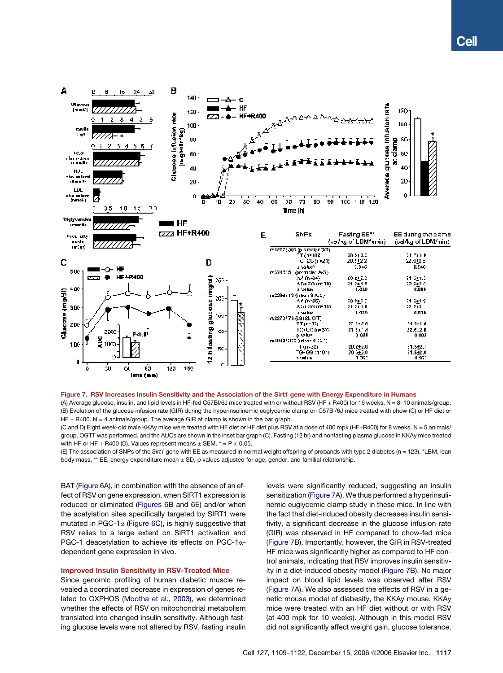

#### Figure 7. RSV Increases Insulin Sensitivity and the Association of the Sirt1 gene with Energy Expenditure in Humans

(A) Average glucose, insulin, and lipid levels in HF-fed C57Bl/6J mice treated with or without RSV (HF + R400) for 16 weeks. N = 8-10 animals/group. (B) Evolution of the glucose infusion rate (GIR) during the hyperinsulinemic euglycemic clamp on C57Bl/6J mice treated with chow (C) or HF diet or  $HF + R400$ . N = 4 animals/group. The average GIR at clamp is shown in the bar graph.

(C and D) Eight week-old male KKAy mice were treated with HF diet or HF diet plus RSV at a dose of 400 mpk (HF+R400) for 8 weeks. N = 5 animals/ group. OGTT was performed, and the AUCs are shown in the inset bar graph (C). Fasting (12 hr) and nonfasting plasma glucose in KKAy mice treated with HF or HF + R400 (D). Values represent means  $\pm$  SEM.  $* = P < 0.05$ .

(E) The association of SNPs of the *Sirt1* gene with EE as measured in normal weight offspring of probands with type 2 diabetes (n = 123). \*LBM, lean body mass, \*\* EE, energy expenditure mean ± SD, p values adjusted for age, gender, and familial relationship.

BAT (Figure 6A), in combination with the absence of an effect of RSV on gene expression, when SIRT1 expression is reduced or eliminated (Figures 6B and 6E) and/or when the acetylation sites specifically targeted by SIRT1 were mutated in PGC-1 $\alpha$  (Figure 6C), is highly suggestive that RSV relies to a large extent on SIRT1 activation and PGC-1 deacetylation to achieve its effects on PGC-1adependent gene expression in vivo.

# Improved Insulin Sensitivity in RSV-Treated Mice

Since genomic profiling of human diabetic muscle revealed a coordinated decrease in expression of genes related to OXPHOS (Mootha et al., 2003), we determined whether the effects of RSV on mitochondrial metabolism translated into changed insulin sensitivity. Although fasting glucose levels were not altered by RSV, fasting insulin levels were significantly reduced, suggesting an insulin sensitization (Figure 7A). We thus performed a hyperinsulinemic euglycemic clamp study in these mice. In line with the fact that diet-induced obesity decreases insulin sensitivity, a significant decrease in the glucose infusion rate (GIR) was observed in HF compared to chow-fed mice (Figure 7B). Importantly, however, the GIR in RSV-treated HF mice was significantly higher as compared to HF control animals, indicating that RSV improves insulin sensitivity in a diet-induced obesity model (Figure 7B). No major impact on blood lipid levels was observed after RSV (Figure 7A). We also assessed the effects of RSV in a genetic mouse model of diabesity, the KKAy mouse. KKAy mice were treated with an HF diet without or with RSV (at 400 mpk for 10 weeks). Although in this model RSV did not significantly affect weight gain, glucose tolerance,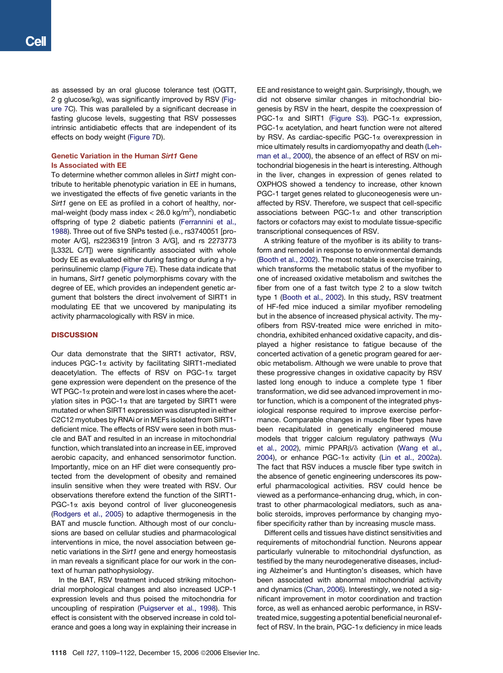as assessed by an oral glucose tolerance test (OGTT, 2 g glucose/kg), was significantly improved by RSV (Figure 7C). This was paralleled by a significant decrease in fasting glucose levels, suggesting that RSV possesses intrinsic antidiabetic effects that are independent of its effects on body weight (Figure 7D).

# Genetic Variation in the Human Sirt1 Gene Is Associated with EE

To determine whether common alleles in *Sirt1* might contribute to heritable phenotypic variation in EE in humans, we investigated the effects of five genetic variants in the *Sirt1* gene on EE as profiled in a cohort of healthy, normal-weight (body mass index < 26.0 kg/m<sup>2</sup>), nondiabetic offspring of type 2 diabetic patients (Ferrannini et al., 1988). Three out of five SNPs tested (i.e., rs3740051 [promoter A/G], rs2236319 [intron 3 A/G], and rs 2273773 [L332L C/T]) were significantly associated with whole body EE as evaluated either during fasting or during a hyperinsulinemic clamp (Figure 7E). These data indicate that in humans, *Sirt1* genetic polymorphisms covary with the degree of EE, which provides an independent genetic argument that bolsters the direct involvement of SIRT1 in modulating EE that we uncovered by manipulating its activity pharmacologically with RSV in mice.

# **DISCUSSION**

Our data demonstrate that the SIRT1 activator, RSV, induces PGC-1a activity by facilitating SIRT1-mediated deacetylation. The effects of RSV on PGC-1a target gene expression were dependent on the presence of the WT PGC-1 $\alpha$  protein and were lost in cases where the acetylation sites in PGC-1 $\alpha$  that are targeted by SIRT1 were mutated or when SIRT1 expression was disrupted in either C2C12 myotubes by RNAi or in MEFs isolated from SIRT1 deficient mice. The effects of RSV were seen in both muscle and BAT and resulted in an increase in mitochondrial function, which translated into an increase in EE, improved aerobic capacity, and enhanced sensorimotor function. Importantly, mice on an HF diet were consequently protected from the development of obesity and remained insulin sensitive when they were treated with RSV. Our observations therefore extend the function of the SIRT1-  $PGC-1\alpha$  axis beyond control of liver gluconeogenesis (Rodgers et al., 2005) to adaptive thermogenesis in the BAT and muscle function. Although most of our conclusions are based on cellular studies and pharmacological interventions in mice, the novel association between genetic variations in the *Sirt1* gene and energy homeostasis in man reveals a significant place for our work in the context of human pathophysiology.

In the BAT, RSV treatment induced striking mitochondrial morphological changes and also increased UCP-1 expression levels and thus poised the mitochondria for uncoupling of respiration (Puigserver et al., 1998). This effect is consistent with the observed increase in cold tolerance and goes a long way in explaining their increase in EE and resistance to weight gain. Surprisingly, though, we did not observe similar changes in mitochondrial biogenesis by RSV in the heart, despite the coexpression of PGC-1 $\alpha$  and SIRT1 (Figure S3). PGC-1 $\alpha$  expression,  $PGC-1\alpha$  acetylation, and heart function were not altered by RSV. As cardiac-specific PGC-1a overexpression in mice ultimately results in cardiomyopathy and death (Lehman et al., 2000), the absence of an effect of RSV on mitochondrial biogenesis in the heart is interesting. Although in the liver, changes in expression of genes related to OXPHOS showed a tendency to increase, other known PGC-1 target genes related to gluconeogenesis were unaffected by RSV. Therefore, we suspect that cell-specific associations between PGC-1 $\alpha$  and other transcription factors or cofactors may exist to modulate tissue-specific transcriptional consequences of RSV.

A striking feature of the myofiber is its ability to transform and remodel in response to environmental demands (Booth et al., 2002). The most notable is exercise training, which transforms the metabolic status of the myofiber to one of increased oxidative metabolism and switches the fiber from one of a fast twitch type 2 to a slow twitch type 1 (Booth et al., 2002). In this study, RSV treatment of HF-fed mice induced a similar myofiber remodeling but in the absence of increased physical activity. The myofibers from RSV-treated mice were enriched in mitochondria, exhibited enhanced oxidative capacity, and displayed a higher resistance to fatigue because of the concerted activation of a genetic program geared for aerobic metabolism. Although we were unable to prove that these progressive changes in oxidative capacity by RSV lasted long enough to induce a complete type 1 fiber transformation, we did see advanced improvement in motor function, which is a component of the integrated physiological response required to improve exercise performance. Comparable changes in muscle fiber types have been recapitulated in genetically engineered mouse models that trigger calcium regulatory pathways (Wu et al., 2002), mimic PPAR $\beta$ / $\delta$  activation (Wang et al., 2004), or enhance PGC-1 $\alpha$  activity (Lin et al., 2002a). The fact that RSV induces a muscle fiber type switch in the absence of genetic engineering underscores its powerful pharmacological activities. RSV could hence be viewed as a performance-enhancing drug, which, in contrast to other pharmacological mediators, such as anabolic steroids, improves performance by changing myofiber specificity rather than by increasing muscle mass.

Different cells and tissues have distinct sensitivities and requirements of mitochondrial function. Neurons appear particularly vulnerable to mitochondrial dysfunction, as testified by the many neurodegenerative diseases, including Alzheimer's and Huntington's diseases, which have been associated with abnormal mitochondrial activity and dynamics (Chan, 2006). Interestingly, we noted a significant improvement in motor coordination and traction force, as well as enhanced aerobic performance, in RSVtreated mice, suggesting a potential beneficial neuronal effect of RSV. In the brain, PGC-1 $\alpha$  deficiency in mice leads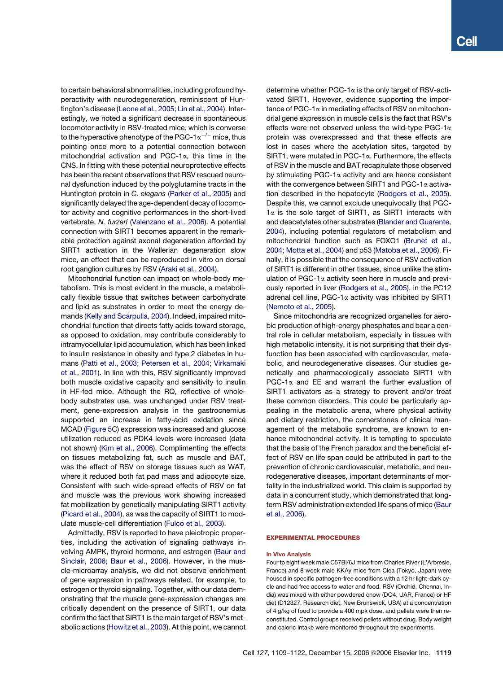to certain behavioral abnormalities, including profound hyperactivity with neurodegeneration, reminiscent of Huntington's disease (Leone et al., 2005; Lin et al., 2004). Interestingly, we noted a significant decrease in spontaneous locomotor activity in RSV-treated mice, which is converse to the hyperactive phenotype of the PGC-1 $\alpha^{-/-}$  mice, thus pointing once more to a potential connection between mitochondrial activation and PGC-1 $\alpha$ , this time in the CNS. In fitting with these potential neuroprotective effects has been the recent observations that RSV rescued neuronal dysfunction induced by the polyglutamine tracts in the Huntington protein in *C. elegans* (Parker et al., 2005) and significantly delayed the age-dependent decay of locomotor activity and cognitive performances in the short-lived vertebrate, *N. furzeri* (Valenzano et al., 2006). A potential connection with SIRT1 becomes apparent in the remarkable protection against axonal degeneration afforded by SIRT1 activation in the Wallerian degeneration slow mice, an effect that can be reproduced in vitro on dorsal root ganglion cultures by RSV (Araki et al., 2004).

Mitochondrial function can impact on whole-body metabolism. This is most evident in the muscle, a metabolically flexible tissue that switches between carbohydrate and lipid as substrates in order to meet the energy demands (Kelly and Scarpulla, 2004). Indeed, impaired mitochondrial function that directs fatty acids toward storage, as opposed to oxidation, may contribute considerably to intramyocellular lipid accumulation, which has been linked to insulin resistance in obesity and type 2 diabetes in humans (Patti et al., 2003; Petersen et al., 2004; Virkamaki et al., 2001). In line with this, RSV significantly improved both muscle oxidative capacity and sensitivity to insulin in HF-fed mice. Although the RQ, reflective of wholebody substrates use, was unchanged under RSV treatment, gene-expression analysis in the gastrocnemius supported an increase in fatty-acid oxidation since MCAD (Figure 5C) expression was increased and glucose utilization reduced as PDK4 levels were increased (data not shown) (Kim et al., 2006). Complimenting the effects on tissues metabolizing fat, such as muscle and BAT, was the effect of RSV on storage tissues such as WAT, where it reduced both fat pad mass and adipocyte size. Consistent with such wide-spread effects of RSV on fat and muscle was the previous work showing increased fat mobilization by genetically manipulating SIRT1 activity (Picard et al., 2004), as was the capacity of SIRT1 to modulate muscle-cell differentiation (Fulco et al., 2003).

Admittedly, RSV is reported to have pleiotropic properties, including the activation of signaling pathways involving AMPK, thyroid hormone, and estrogen (Baur and Sinclair, 2006; Baur et al., 2006). However, in the muscle-microarray analysis, we did not observe enrichment of gene expression in pathways related, for example, to estrogen or thyroid signaling. Together, with our data demonstrating that the muscle gene-expression changes are critically dependent on the presence of SIRT1, our data confirm the fact that SIRT1 is the main target of RSV's metabolic actions (Howitz et al., 2003). At this point, we cannot determine whether PGC-1 $\alpha$  is the only target of RSV-activated SIRT1. However, evidence supporting the importance of PGC-1 $\alpha$  in mediating effects of RSV on mitochondrial gene expression in muscle cells is the fact that RSV's effects were not observed unless the wild-type PGC-1 $\alpha$ protein was overexpressed and that these effects are lost in cases where the acetylation sites, targeted by SIRT1, were mutated in PGC-1a. Furthermore, the effects of RSV in the muscle and BAT recapitulate those observed by stimulating PGC-1 $\alpha$  activity and are hence consistent with the convergence between SIRT1 and PGC-1 $\alpha$  activation described in the hepatocyte (Rodgers et al., 2005). Despite this, we cannot exclude unequivocally that PGC- $1\alpha$  is the sole target of SIRT1, as SIRT1 interacts with and deacetylates other substrates (Blander and Guarente, 2004), including potential regulators of metabolism and mitochondrial function such as FOXO1 (Brunet et al., 2004; Motta et al., 2004) and p53 (Matoba et al., 2006). Finally, it is possible that the consequence of RSV activation of SIRT1 is different in other tissues, since unlike the stimulation of PGC-1 $\alpha$  activity seen here in muscle and previously reported in liver (Rodgers et al., 2005), in the PC12 adrenal cell line, PGC-1a activity was inhibited by SIRT1 (Nemoto et al., 2005).

Since mitochondria are recognized organelles for aerobic production of high-energy phosphates and bear a central role in cellular metabolism, especially in tissues with high metabolic intensity, it is not surprising that their dysfunction has been associated with cardiovascular, metabolic, and neurodegenerative diseases. Our studies genetically and pharmacologically associate SIRT1 with PGC-1 $\alpha$  and EE and warrant the further evaluation of SIRT1 activators as a strategy to prevent and/or treat these common disorders. This could be particularly appealing in the metabolic arena, where physical activity and dietary restriction, the cornerstones of clinical management of the metabolic syndrome, are known to enhance mitochondrial activity. It is tempting to speculate that the basis of the French paradox and the beneficial effect of RSV on life span could be attributed in part to the prevention of chronic cardiovascular, metabolic, and neurodegenerative diseases, important determinants of mortality in the industrialized world. This claim is supported by data in a concurrent study, which demonstrated that longterm RSV administration extended life spans of mice (Baur et al., 2006).

## EXPERIMENTAL PROCEDURES

#### In Vivo Analysis

Four to eight week male C57Bl/6J mice from Charles River (L'Arbresle, France) and 8 week male KKAy mice from Clea (Tokyo, Japan) were housed in specific pathogen-free conditions with a 12 hr light-dark cycle and had free access to water and food. RSV (Orchid, Chennai, India) was mixed with either powdered chow (DO4, UAR, France) or HF diet (D12327, Research diet, New Brunswick, USA) at a concentration of 4 g/kg of food to provide a 400 mpk dose, and pellets were then reconstituted. Control groups received pellets without drug. Body weight and caloric intake were monitored throughout the experiments.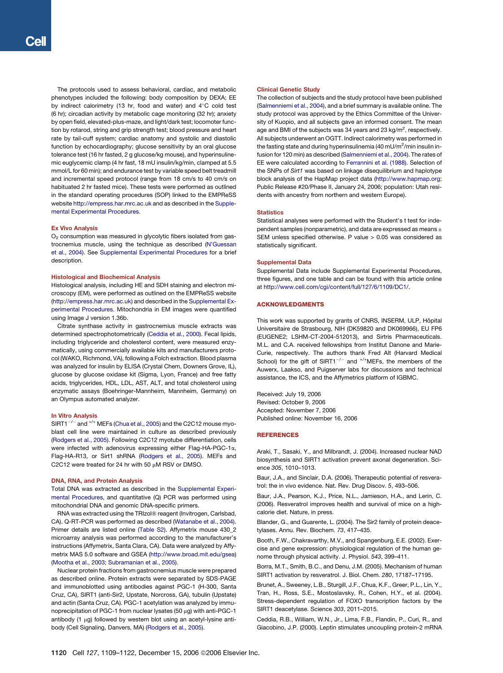The protocols used to assess behavioral, cardiac, and metabolic phenotypes included the following: body composition by DEXA; EE by indirect calorimetry (13 hr, food and water) and  $4^{\circ}$ C cold test (6 hr); circadian activity by metabolic cage monitoring (32 hr); anxiety by open field, elevated-plus-maze, and light/dark test; locomoter function by rotarod, string and grip strength test; blood pressure and heart rate by tail-cuff system; cardiac anatomy and systolic and diastolic function by echocardiography; glucose sensitivity by an oral glucose tolerance test (16 hr fasted, 2 g glucose/kg mouse), and hyperinsulinemic euglycemic clamp (4 hr fast, 18 mU insulin/kg/min, clamped at 5.5 mmol/L for 60 min); and endurance test by variable speed belt treadmill and incremental speed protocol (range from 18 cm/s to 40 cm/s on habituated 2 hr fasted mice). These tests were performed as outlined in the standard operating procedures (SOP) linked to the EMPReSS website http://empress.har.mrc.ac.uk and as described in the Supplemental Experimental Procedures.

#### Ex Vivo Analysis

 $O<sub>2</sub>$  consumption was measured in glycolytic fibers isolated from gastrocnemius muscle, using the technique as described (N'Guessan et al., 2004). See Supplemental Experimental Procedures for a brief description.

## Histological and Biochemical Analysis

Histological analysis, including HE and SDH staining and electron microscopy (EM), were performed as outlined on the EMPReSS website (http://empress.har.mrc.ac.uk) and described in the Supplemental Experimental Procedures. Mitochondria in EM images were quantified using Image J version 1.36b.

Citrate synthase activity in gastrocnemius muscle extracts was determined spectrophotometrically (Ceddia et al., 2000). Fecal lipids, including triglyceride and cholesterol content, were measured enzymatically, using commercially available kits and manufacturers protocol (WAKO, Richmond, VA), following a Folch extraction. Blood plasma was analyzed for insulin by ELISA (Crystal Chem, Downers Grove, IL), glucose by glucose oxidase kit (Sigma, Lyon, France) and free fatty acids, triglycerides, HDL, LDL, AST, ALT, and total cholesterol using enzymatic assays (Boehringer-Mannheim, Mannheim, Germany) on an Olympus automated analyzer.

## In Vitro Analysis

 $SIRT1^{-/-}$  and  $^{+/+}$  MEFs (Chua et al., 2005) and the C2C12 mouse myoblast cell line were maintained in culture as described previously (Rodgers et al., 2005). Following C2C12 myotube differentiation, cells were infected with adenovirus expressing either Flag-HA-PGC-1a, Flag-HA-R13, or Sirt1 shRNA (Rodgers et al., 2005). MEFs and C2C12 were treated for 24 hr with 50  $\mu$ M RSV or DMSO.

## DNA, RNA, and Protein Analysis

Total DNA was extracted as described in the Supplemental Experimental Procedures, and quantitative (Q) PCR was performed using mitochondrial DNA and genomic DNA-specific primers.

RNA was extracted using the TRIzol® reagent (Invitrogen, Carlsbad, CA). Q-RT-PCR was performed as described (Watanabe et al., 2004). Primer details are listed online (Table S2). Affymetrix mouse 430\_2 microarray analysis was performed according to the manufacturer's instructions (Affymetrix, Santa Clara, CA). Data were analyzed by Affymetrix MAS 5.0 software and GSEA (http://www.broad.mit.edu/gsea) (Mootha et al., 2003; Subramanian et al., 2005).

Nuclear protein fractions from gastrocnemius muscle were prepared as described online. Protein extracts were separated by SDS-PAGE and immunoblotted using antibodies against PGC-1 (H-300, Santa Cruz, CA), SIRT1 (anti-Sir2, Upstate, Norcross, GA), tubulin (Upstate) and actin (Santa Cruz, CA). PGC-1 acetylation was analyzed by immunoprecipitation of PGC-1 from nuclear lysates (50 µg) with anti-PGC-1 antibody (1  $\mu$ g) followed by western blot using an acetyl-lysine antibody (Cell Signaling, Danvers, MA) (Rodgers et al., 2005).

#### Clinical Genetic Study

The collection of subjects and the study protocol have been published (Salmenniemi et al., 2004), and a brief summary is available online. The study protocol was approved by the Ethics Committee of the University of Kuopio, and all subjects gave an informed consent. The mean age and BMI of the subjects was 34 years and 23 kg/m $^2$ , respectively. All subjects underwent an OGTT. Indirect calorimetry was performed in the fasting state and during hyperinsulinemia (40 mU/m $^2$ /min insulin infusion for 120 min) as described (Salmenniemi et al., 2004). The rates of EE were calculated according to Ferrannini et al. (1988). Selection of the SNPs of *Sirt1* was based on linkage disequilibrium and haplotype block analysis of the HapMap project data (http://www.hapmap.org; Public Release #20/Phase II, January 24, 2006; population: Utah residents with ancestry from northern and western Europe).

## **Statistics**

Statistical analyses were performed with the Student's t test for independent samples (nonparametric), and data are expressed as means  $\pm$ SEM unless specified otherwise. P value > 0.05 was considered as statistically significant.

## Supplemental Data

Supplemental Data include Supplemental Experimental Procedures, three figures, and one table and can be found with this article online at http://www.cell.com/cgi/content/full/127/6/1109/DC1/.

## ACKNOWLEDGMENTS

This work was supported by grants of CNRS, INSERM, ULP, Hôpital Universitaire de Strasbourg, NIH (DK59820 and DK069966), EU FP6 (EUGENE2; LSHM-CT-2004-512013), and Sirtris Pharmaceuticals. M.L. and C.A. received fellowships from Institut Danone and Marie-Curie, respectively. The authors thank Fred Alt (Harvard Medical School) for the gift of SIRT1<sup>-/-</sup> and  $+$ <sup> $+$ </sup>MEFs, the members of the Auwerx, Laakso, and Puigserver labs for discussions and technical assistance, the ICS, and the Affymetrics platform of IGBMC.

Received: July 19, 2006 Revised: October 9, 2006 Accepted: November 7, 2006 Published online: November 16, 2006

## **REFERENCES**

Araki, T., Sasaki, Y., and Milbrandt, J. (2004). Increased nuclear NAD biosynthesis and SIRT1 activation prevent axonal degeneration. Science *305*, 1010–1013.

Baur, J.A., and Sinclair, D.A. (2006). Therapeutic potential of resveratrol: the in vivo evidence. Nat. Rev. Drug Discov. *5*, 493–506.

Baur, J.A., Pearson, K.J., Price, N.L., Jamieson, H.A., and Lerin, C. (2006). Resveratrol improves health and survival of mice on a highcalorie diet. Nature, in press.

Blander, G., and Guarente, L. (2004). The Sir2 family of protein deacetylases. Annu. Rev. Biochem. *73*, 417–435.

Booth, F.W., Chakravarthy, M.V., and Spangenburg, E.E. (2002). Exercise and gene expression: physiological regulation of the human genome through physical activity. J. Physiol. *543*, 399–411.

Borra, M.T., Smith, B.C., and Denu, J.M. (2005). Mechanism of human SIRT1 activation by resveratrol. J. Biol. Chem. *280*, 17187–17195.

Brunet, A., Sweeney, L.B., Sturgill, J.F., Chua, K.F., Greer, P.L., Lin, Y., Tran, H., Ross, S.E., Mostoslavsky, R., Cohen, H.Y., et al. (2004). Stress-dependent regulation of FOXO transcription factors by the SIRT1 deacetylase. Science *303*, 2011–2015.

Ceddia, R.B., William, W.N., Jr., Lima, F.B., Flandin, P., Curi, R., and Giacobino, J.P. (2000). Leptin stimulates uncoupling protein-2 mRNA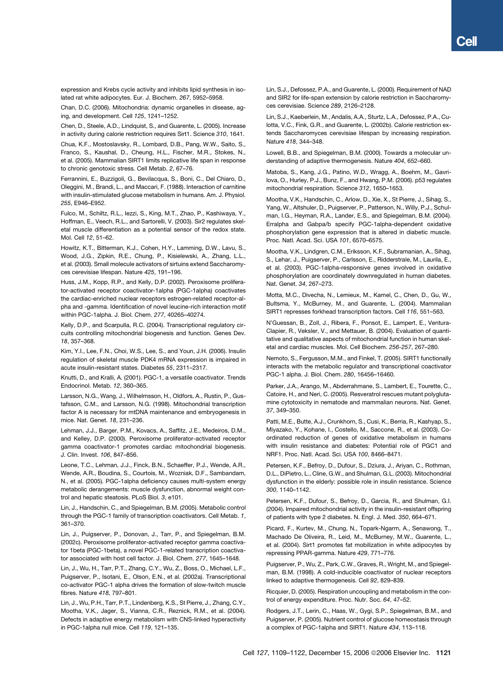expression and Krebs cycle activity and inhibits lipid synthesis in isolated rat white adipocytes. Eur. J. Biochem. *267*, 5952–5958.

Chan, D.C. (2006). Mitochondria: dynamic organelles in disease, aging, and development. Cell *125*, 1241–1252.

Chen, D., Steele, A.D., Lindquist, S., and Guarente, L. (2005). Increase in activity during calorie restriction requires Sirt1. Science *310*, 1641.

Chua, K.F., Mostoslavsky, R., Lombard, D.B., Pang, W.W., Saito, S., Franco, S., Kaushal, D., Cheung, H.L., Fischer, M.R., Stokes, N., et al. (2005). Mammalian SIRT1 limits replicative life span in response to chronic genotoxic stress. Cell Metab. *2*, 67–76.

Ferrannini, E., Buzzigoli, G., Bevilacqua, S., Boni, C., Del Chiaro, D., Oleggini, M., Brandi, L., and Maccari, F. (1988). Interaction of carnitine with insulin-stimulated glucose metabolism in humans. Am. J. Physiol. *255*, E946–E952.

Fulco, M., Schiltz, R.L., Iezzi, S., King, M.T., Zhao, P., Kashiwaya, Y., Hoffman, E., Veech, R.L., and Sartorelli, V. (2003). Sir2 regulates skeletal muscle differentiation as a potential sensor of the redox state. Mol. Cell *12*, 51–62.

Howitz, K.T., Bitterman, K.J., Cohen, H.Y., Lamming, D.W., Lavu, S., Wood, J.G., Zipkin, R.E., Chung, P., Kisielewski, A., Zhang, L.L., et al. (2003). Small molecule activators of sirtuins extend Saccharomyces cerevisiae lifespan. Nature *425*, 191–196.

Huss, J.M., Kopp, R.P., and Kelly, D.P. (2002). Peroxisome proliferator-activated receptor coactivator-1alpha (PGC-1alpha) coactivates the cardiac-enriched nuclear receptors estrogen-related receptor-alpha and -gamma. Identification of novel leucine-rich interaction motif within PGC-1alpha. J. Biol. Chem. *277*, 40265–40274.

Kelly, D.P., and Scarpulla, R.C. (2004). Transcriptional regulatory circuits controlling mitochondrial biogenesis and function. Genes Dev. *18*, 357–368.

Kim, Y.I., Lee, F.N., Choi, W.S., Lee, S., and Youn, J.H. (2006). Insulin regulation of skeletal muscle PDK4 mRNA expression is impaired in acute insulin-resistant states. Diabetes *55*, 2311–2317.

Knutti, D., and Kralli, A. (2001). PGC-1, a versatile coactivator. Trends Endocrinol. Metab. *12*, 360–365.

Larsson, N.G., Wang, J., Wilhelmsson, H., Oldfors, A., Rustin, P., Gustafsson, C.M., and Larsson, N.G. (1998). Mitochondrial transcription factor A is necessary for mtDNA maintenance and embryogenesis in mice. Nat. Genet. *18*, 231–236.

Lehman, J.J., Barger, P.M., Kovacs, A., Saffitz, J.E., Medeiros, D.M., and Kelley, D.P. (2000). Peroxisome proliferator-activated receptor gamma coactivator-1 promotes cardiac mitochondrial biogenesis. J. Clin. Invest. *106*, 847–856.

Leone, T.C., Lehman, J.J., Finck, B.N., Schaeffer, P.J., Wende, A.R., Wende, A.R., Boudina, S., Courtois, M., Wozniak, D.F., Sambandam, N., et al. (2005). PGC-1alpha deficiency causes multi-system energy metabolic derangements: muscle dysfunction, abnormal weight control and hepatic steatosis. PLoS Biol. *3*, e101.

Lin, J., Handschin, C., and Spiegelman, B.M. (2005). Metabolic control through the PGC-1 family of transcription coactivators. Cell Metab. *1*, 361–370.

Lin, J., Puigserver, P., Donovan, J., Tarr, P., and Spiegelman, B.M. (2002c). Peroxisome proliferator-activated receptor gamma coactivator 1beta (PGC-1beta), a novel PGC-1-related transcription coactivator associated with host cell factor. J. Biol. Chem. *277*, 1645–1648.

Lin, J., Wu, H., Tarr, P.T., Zhang, C.Y., Wu, Z., Boss, O., Michael, L.F., Puigserver, P., Isotani, E., Olson, E.N., et al. (2002a). Transcriptional co-activator PGC-1 alpha drives the formation of slow-twitch muscle fibres. Nature *418*, 797–801.

Lin, J., Wu, P.H., Tarr, P.T., Lindenberg, K.S., St Pierre, J., Zhang, C.Y., Mootha, V.K., Jager, S., Vianna, C.R., Reznick, R.M., et al. (2004). Defects in adaptive energy metabolism with CNS-linked hyperactivity in PGC-1alpha null mice. Cell *119*, 121–135.

Lin, S.J., Defossez, P.A., and Guarente, L. (2000). Requirement of NAD and SIR2 for life-span extension by calorie restriction in Saccharomyces cerevisiae. Science *289*, 2126–2128.

Lin, S.J., Kaeberlein, M., Andalis, A.A., Sturtz, L.A., Defossez, P.A., Culotta, V.C., Fink, G.R., and Guarente, L. (2002b). Calorie restriction extends Saccharomyces cerevisiae lifespan by increasing respiration. Nature *418*, 344–348.

Lowell, B.B., and Spiegelman, B.M. (2000). Towards a molecular understanding of adaptive thermogenesis. Nature *404*, 652–660.

Matoba, S., Kang, J.G., Patino, W.D., Wragg, A., Boehm, M., Gavrilova, O., Hurley, P.J., Bunz, F., and Hwang, P.M. (2006). p53 regulates mitochondrial respiration. Science *312*, 1650–1653.

Mootha, V.K., Handschin, C., Arlow, D., Xie, X., St Pierre, J., Sihag, S., Yang, W., Altshuler, D., Puigserver, P., Patterson, N., Willy, P.J., Schulman, I.G., Heyman, R.A., Lander, E.S., and Spiegelman, B.M. (2004). Erralpha and Gabpa/b specify PGC-1alpha-dependent oxidative phosphorylation gene expression that is altered in diabetic muscle. Proc. Natl. Acad. Sci. USA *101*, 6570–6575.

Mootha, V.K., Lindgren, C.M., Eriksson, K.F., Subramanian, A., Sihag, S., Lehar, J., Puigserver, P., Carlsson, E., Ridderstrale, M., Laurila, E., et al. (2003). PGC-1alpha-responsive genes involved in oxidative phosphorylation are coordinately downregulated in human diabetes. Nat. Genet. *34*, 267–273.

Motta, M.C., Divecha, N., Lemieux, M., Kamel, C., Chen, D., Gu, W., Bultsma, Y., McBurney, M., and Guarente, L. (2004). Mammalian SIRT1 represses forkhead transcription factors. Cell *116*, 551–563.

N'Guessan, B., Zoll, J., Ribera, F., Ponsot, E., Lampert, E., Ventura-Clapier, R., Veksler, V., and Mettauer, B. (2004). Evaluation of quantitative and qualitative aspects of mitochondrial function in human skeletal and cardiac muscles. Mol. Cell Biochem. *256-257*, 267–280.

Nemoto, S., Fergusson, M.M., and Finkel, T. (2005). SIRT1 functionally interacts with the metabolic regulator and transcriptional coactivator PGC-1 alpha. J. Biol. Chem. *280*, 16456–16460.

Parker, J.A., Arango, M., Abderrahmane, S., Lambert, E., Tourette, C., Catoire, H., and Neri, C. (2005). Resveratrol rescues mutant polyglutamine cytotoxicity in nematode and mammalian neurons. Nat. Genet. *37*, 349–350.

Patti, M.E., Butte, A.J., Crunkhorn, S., Cusi, K., Berria, R., Kashyap, S., Miyazako, Y., Kohane, I., Costello, M., Saccone, R., et al. (2003). Coordinated reduction of genes of oxidative metabolism in humans with insulin resistance and diabetes: Potential role of PGC1 and NRF1. Proc. Natl. Acad. Sci. USA *100*, 8466–8471.

Petersen, K.F., Befroy, D., Dufour, S., Dziura, J., Ariyan, C., Rothman, D.L., DiPietro, L., Cline, G.W., and Shulman, G.L. (2003). Mitochondrial dysfunction in the elderly: possible role in insulin resistance. Science *300*, 1140–1142.

Petersen, K.F., Dufour, S., Befroy, D., Garcia, R., and Shulman, G.I. (2004). Impaired mitochondrial activity in the insulin-resistant offspring of patients with type 2 diabetes. N. Engl. J. Med. *350*, 664–671.

Picard, F., Kurtev, M., Chung, N., Topark-Ngarm, A., Senawong, T., Machado De Oliveira, R., Leid, M., McBurney, M.W., Guarente, L., et al. (2004). Sirt1 promotes fat mobilization in white adipocytes by repressing PPAR-gamma. Nature *429*, 771–776.

Puigserver, P., Wu, Z., Park, C.W., Graves, R., Wright, M., and Spiegelman, B.M. (1998). A cold-inducible coactivator of nuclear receptors linked to adaptive thermogenesis. Cell *92*, 829–839.

Ricquier, D. (2005). Respiration uncoupling and metabolism in the control of energy expenditure. Proc. Nutr. Soc. *64*, 47–52.

Rodgers, J.T., Lerin, C., Haas, W., Gygi, S.P., Spiegelman, B.M., and Puigserver, P. (2005). Nutrient control of glucose homeostasis through a complex of PGC-1alpha and SIRT1. Nature *434*, 113–118.